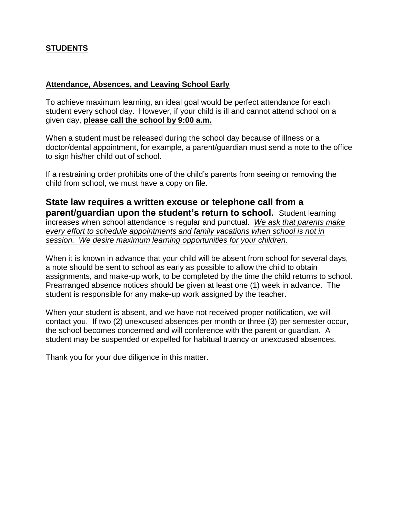## **STUDENTS**

## **Attendance, Absences, and Leaving School Early**

To achieve maximum learning, an ideal goal would be perfect attendance for each student every school day. However, if your child is ill and cannot attend school on a given day, **please call the school by 9:00 a.m.** 

When a student must be released during the school day because of illness or a doctor/dental appointment, for example, a parent/guardian must send a note to the office to sign his/her child out of school.

If a restraining order prohibits one of the child's parents from seeing or removing the child from school, we must have a copy on file.

**State law requires a written excuse or telephone call from a parent/guardian upon the student's return to school.** Student learning increases when school attendance is regular and punctual. *We ask that parents make every effort to schedule appointments and family vacations when school is not in session. We desire maximum learning opportunities for your children.* 

When it is known in advance that your child will be absent from school for several days, a note should be sent to school as early as possible to allow the child to obtain assignments, and make-up work, to be completed by the time the child returns to school. Prearranged absence notices should be given at least one (1) week in advance. The student is responsible for any make-up work assigned by the teacher.

When your student is absent, and we have not received proper notification, we will contact you. If two (2) unexcused absences per month or three (3) per semester occur, the school becomes concerned and will conference with the parent or guardian. A student may be suspended or expelled for habitual truancy or unexcused absences.

Thank you for your due diligence in this matter.